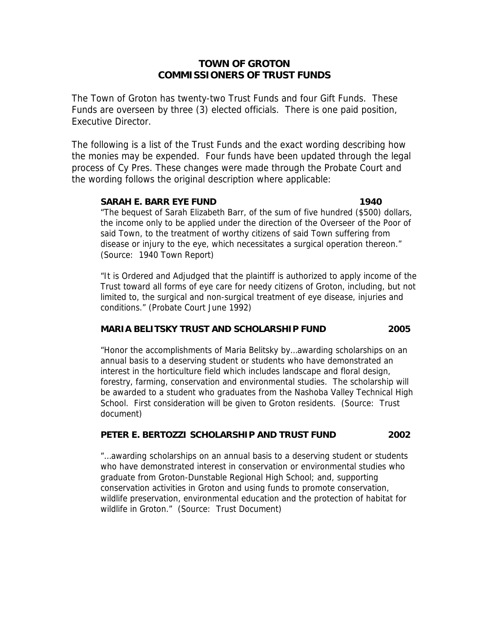# **TOWN OF GROTON COMMISSIONERS OF TRUST FUNDS**

The Town of Groton has twenty-two Trust Funds and four Gift Funds. These Funds are overseen by three (3) elected officials. There is one paid position, Executive Director.

The following is a list of the Trust Funds and the exact wording describing how the monies may be expended. Four funds have been updated through the legal process of Cy Pres. These changes were made through the Probate Court and the wording follows the original description where applicable:

## **SARAH E. BARR EYE FUND 1940**

"The bequest of Sarah Elizabeth Barr, of the sum of five hundred (\$500) dollars, the income only to be applied under the direction of the Overseer of the Poor of said Town, to the treatment of worthy citizens of said Town suffering from disease or injury to the eye, which necessitates a surgical operation thereon." (Source: 1940 Town Report)

"It is Ordered and Adjudged that the plaintiff is authorized to apply income of the Trust toward all forms of eye care for needy citizens of Groton, including, but not limited to, the surgical and non-surgical treatment of eye disease, injuries and conditions." (Probate Court June 1992)

# **MARIA BELITSKY TRUST AND SCHOLARSHIP FUND 2005**

"Honor the accomplishments of Maria Belitsky by…awarding scholarships on an annual basis to a deserving student or students who have demonstrated an interest in the horticulture field which includes landscape and floral design, forestry, farming, conservation and environmental studies. The scholarship will be awarded to a student who graduates from the Nashoba Valley Technical High School. First consideration will be given to Groton residents. (Source: Trust document)

# **PETER E. BERTOZZI SCHOLARSHIP AND TRUST FUND 2002**

"…awarding scholarships on an annual basis to a deserving student or students who have demonstrated interest in conservation or environmental studies who graduate from Groton-Dunstable Regional High School; and, supporting conservation activities in Groton and using funds to promote conservation, wildlife preservation, environmental education and the protection of habitat for wildlife in Groton." (Source: Trust Document)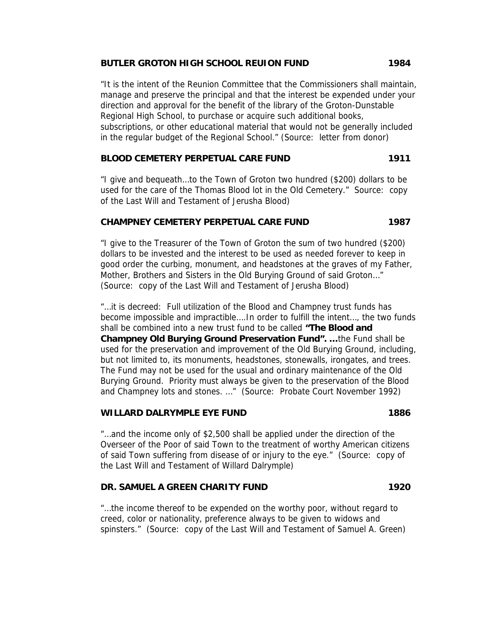## **BUTLER GROTON HIGH SCHOOL REUION FUND 1984**

"It is the intent of the Reunion Committee that the Commissioners shall maintain, manage and preserve the principal and that the interest be expended under your direction and approval for the benefit of the library of the Groton-Dunstable Regional High School, to purchase or acquire such additional books, subscriptions, or other educational material that would not be generally included in the regular budget of the Regional School." (Source: letter from donor)

## **BLOOD CEMETERY PERPETUAL CARE FUND 1911**

"I give and bequeath…to the Town of Groton two hundred (\$200) dollars to be used for the care of the Thomas Blood lot in the Old Cemetery." Source: copy of the Last Will and Testament of Jerusha Blood)

### **CHAMPNEY CEMETERY PERPETUAL CARE FUND 1987**

"I give to the Treasurer of the Town of Groton the sum of two hundred (\$200) dollars to be invested and the interest to be used as needed forever to keep in good order the curbing, monument, and headstones at the graves of my Father, Mother, Brothers and Sisters in the Old Burying Ground of said Groton…" (Source: copy of the Last Will and Testament of Jerusha Blood)

"…it is decreed: Full utilization of the Blood and Champney trust funds has become impossible and impractible….In order to fulfill the intent…, the two funds shall be combined into a new trust fund to be called **"The Blood and Champney Old Burying Ground Preservation Fund". …**the Fund shall be used for the preservation and improvement of the Old Burying Ground, including, but not limited to, its monuments, headstones, stonewalls, irongates, and trees. The Fund may not be used for the usual and ordinary maintenance of the Old Burying Ground. Priority must always be given to the preservation of the Blood and Champney lots and stones. …" (Source: Probate Court November 1992)

## **WILLARD DALRYMPLE EYE FUND 1886**

"…and the income only of \$2,500 shall be applied under the direction of the Overseer of the Poor of said Town to the treatment of worthy American citizens of said Town suffering from disease of or injury to the eye." (Source: copy of the Last Will and Testament of Willard Dalrymple)

# **DR. SAMUEL A GREEN CHARITY FUND 1920**

"…the income thereof to be expended on the worthy poor, without regard to creed, color or nationality, preference always to be given to widows and spinsters." (Source: copy of the Last Will and Testament of Samuel A. Green)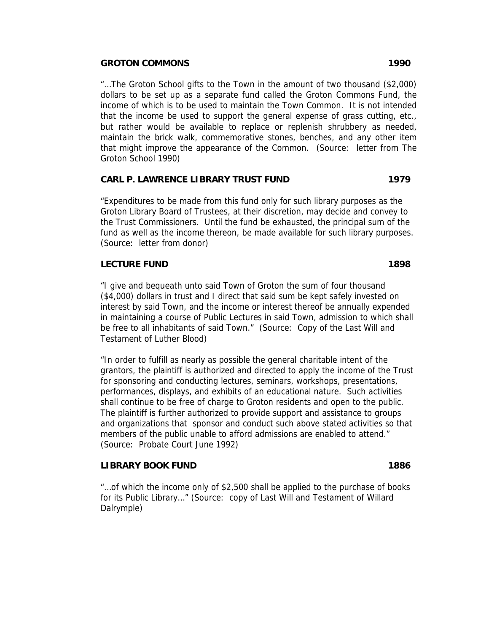### **GROTON COMMONS 1990**

"…The Groton School gifts to the Town in the amount of two thousand (\$2,000) dollars to be set up as a separate fund called the Groton Commons Fund, the income of which is to be used to maintain the Town Common. It is not intended that the income be used to support the general expense of grass cutting, etc., but rather would be available to replace or replenish shrubbery as needed, maintain the brick walk, commemorative stones, benches, and any other item that might improve the appearance of the Common. (Source: letter from The Groton School 1990)

## **CARL P. LAWRENCE LIBRARY TRUST FUND 1979**

"Expenditures to be made from this fund only for such library purposes as the Groton Library Board of Trustees, at their discretion, may decide and convey to the Trust Commissioners. Until the fund be exhausted, the principal sum of the fund as well as the income thereon, be made available for such library purposes. (Source: letter from donor)

## **LECTURE FUND 1898**

"I give and bequeath unto said Town of Groton the sum of four thousand (\$4,000) dollars in trust and I direct that said sum be kept safely invested on interest by said Town, and the income or interest thereof be annually expended in maintaining a course of Public Lectures in said Town, admission to which shall be free to all inhabitants of said Town." (Source: Copy of the Last Will and Testament of Luther Blood)

"In order to fulfill as nearly as possible the general charitable intent of the grantors, the plaintiff is authorized and directed to apply the income of the Trust for sponsoring and conducting lectures, seminars, workshops, presentations, performances, displays, and exhibits of an educational nature. Such activities shall continue to be free of charge to Groton residents and open to the public. The plaintiff is further authorized to provide support and assistance to groups and organizations that sponsor and conduct such above stated activities so that members of the public unable to afford admissions are enabled to attend." (Source: Probate Court June 1992)

## **LIBRARY BOOK FUND 1886**

"…of which the income only of \$2,500 shall be applied to the purchase of books for its Public Library…" (Source: copy of Last Will and Testament of Willard Dalrymple)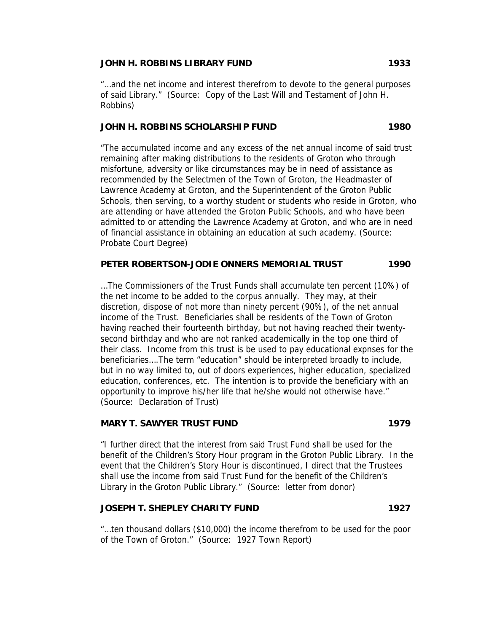### **JOHN H. ROBBINS LIBRARY FUND 1933**

"…and the net income and interest therefrom to devote to the general purposes of said Library." (Source: Copy of the Last Will and Testament of John H. Robbins)

#### **JOHN H. ROBBINS SCHOLARSHIP FUND 1980**

"The accumulated income and any excess of the net annual income of said trust remaining after making distributions to the residents of Groton who through misfortune, adversity or like circumstances may be in need of assistance as recommended by the Selectmen of the Town of Groton, the Headmaster of Lawrence Academy at Groton, and the Superintendent of the Groton Public Schools, then serving, to a worthy student or students who reside in Groton, who are attending or have attended the Groton Public Schools, and who have been admitted to or attending the Lawrence Academy at Groton, and who are in need of financial assistance in obtaining an education at such academy. (Source: Probate Court Degree)

## **PETER ROBERTSON-JODIE ONNERS MEMORIAL TRUST 1990**

…The Commissioners of the Trust Funds shall accumulate ten percent (10%) of the net income to be added to the corpus annually. They may, at their discretion, dispose of not more than ninety percent (90%), of the net annual income of the Trust. Beneficiaries shall be residents of the Town of Groton having reached their fourteenth birthday, but not having reached their twentysecond birthday and who are not ranked academically in the top one third of their class. Income from this trust is be used to pay educational expnses for the beneficiaries….The term "education" should be interpreted broadly to include, but in no way limited to, out of doors experiences, higher education, specialized education, conferences, etc. The intention is to provide the beneficiary with an opportunity to improve his/her life that he/she would not otherwise have." (Source: Declaration of Trust)

#### **MARY T. SAWYER TRUST FUND 1979**

"I further direct that the interest from said Trust Fund shall be used for the benefit of the Children's Story Hour program in the Groton Public Library. In the event that the Children's Story Hour is discontinued, I direct that the Trustees shall use the income from said Trust Fund for the benefit of the Children's Library in the Groton Public Library." (Source: letter from donor)

#### **JOSEPH T. SHEPLEY CHARITY FUND 1927**

"…ten thousand dollars (\$10,000) the income therefrom to be used for the poor of the Town of Groton." (Source: 1927 Town Report)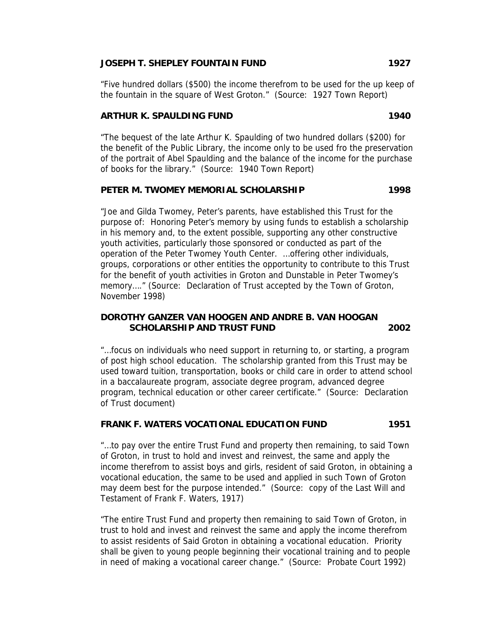## **JOSEPH T. SHEPLEY FOUNTAIN FUND 1927**

"Five hundred dollars (\$500) the income therefrom to be used for the up keep of the fountain in the square of West Groton." (Source: 1927 Town Report)

## **ARTHUR K. SPAULDING FUND 1940**

"The bequest of the late Arthur K. Spaulding of two hundred dollars (\$200) for the benefit of the Public Library, the income only to be used fro the preservation of the portrait of Abel Spaulding and the balance of the income for the purchase of books for the library." (Source: 1940 Town Report)

### **PETER M. TWOMEY MEMORIAL SCHOLARSHIP 1998**

"Joe and Gilda Twomey, Peter's parents, have established this Trust for the purpose of: Honoring Peter's memory by using funds to establish a scholarship in his memory and, to the extent possible, supporting any other constructive youth activities, particularly those sponsored or conducted as part of the operation of the Peter Twomey Youth Center. …offering other individuals, groups, corporations or other entities the opportunity to contribute to this Trust for the benefit of youth activities in Groton and Dunstable in Peter Twomey's memory...." (Source: Declaration of Trust accepted by the Town of Groton, November 1998)

## **DOROTHY GANZER VAN HOOGEN AND ANDRE B. VAN HOOGAN SCHOLARSHIP AND TRUST FUND 2002**

"…focus on individuals who need support in returning to, or starting, a program of post high school education. The scholarship granted from this Trust may be used toward tuition, transportation, books or child care in order to attend school in a baccalaureate program, associate degree program, advanced degree program, technical education or other career certificate." (Source: Declaration of Trust document)

### **FRANK F. WATERS VOCATIONAL EDUCATION FUND 1951**

"…to pay over the entire Trust Fund and property then remaining, to said Town of Groton, in trust to hold and invest and reinvest, the same and apply the income therefrom to assist boys and girls, resident of said Groton, in obtaining a vocational education, the same to be used and applied in such Town of Groton may deem best for the purpose intended." (Source: copy of the Last Will and Testament of Frank F. Waters, 1917)

"The entire Trust Fund and property then remaining to said Town of Groton, in trust to hold and invest and reinvest the same and apply the income therefrom to assist residents of Said Groton in obtaining a vocational education. Priority shall be given to young people beginning their vocational training and to people in need of making a vocational career change." (Source: Probate Court 1992)